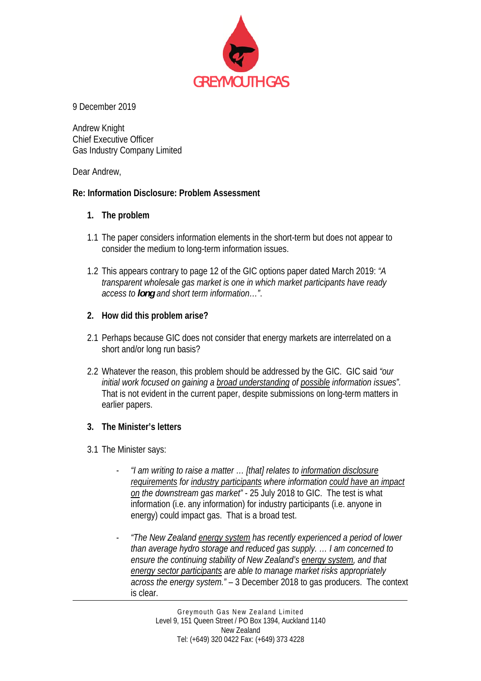

9 December 2019

Andrew Knight Chief Executive Officer Gas Industry Company Limited

Dear Andrew,

## **Re: Information Disclosure: Problem Assessment**

## **1. The problem**

- 1.1 The paper considers information elements in the short-term but does not appear to consider the medium to long-term information issues.
- 1.2 This appears contrary to page 12 of the GIC options paper dated March 2019: *"A transparent wholesale gas market is one in which market participants have ready access to long and short term information…"*.

## **2. How did this problem arise?**

- 2.1 Perhaps because GIC does not consider that energy markets are interrelated on a short and/or long run basis?
- 2.2 Whatever the reason, this problem should be addressed by the GIC. GIC said *"our initial work focused on gaining a broad understanding of possible information issues".*  That is not evident in the current paper, despite submissions on long-term matters in earlier papers.

## **3. The Minister's letters**

- 3.1 The Minister says:
	- *"I am writing to raise a matter … [that] relates to information disclosure requirements for industry participants where information could have an impact on the downstream gas market"* - 25 July 2018 to GIC. The test is what information (i.e. any information) for industry participants (i.e. anyone in energy) could impact gas. That is a broad test.
	- *"The New Zealand energy system has recently experienced a period of lower than average hydro storage and reduced gas supply. … I am concerned to ensure the continuing stability of New Zealand's energy system, and that energy sector participants are able to manage market risks appropriately across the energy system."* – 3 December 2018 to gas producers. The context is clear.